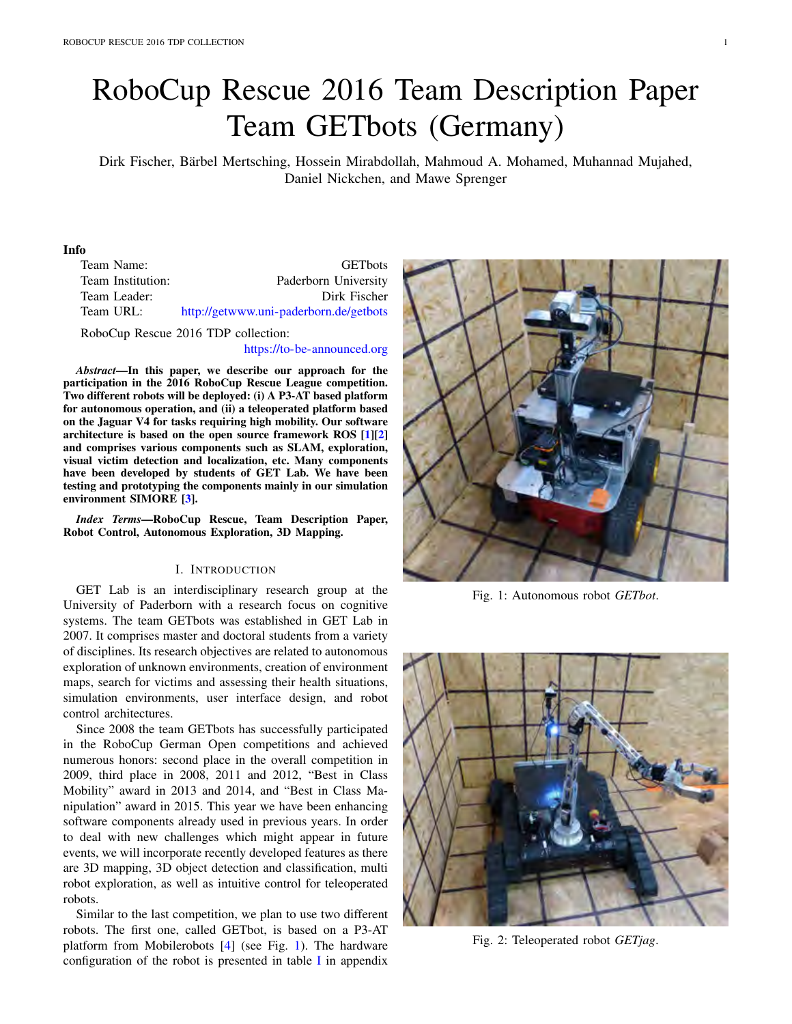# RoboCup Rescue 2016 Team Description Paper Team GETbots (Germany)

Dirk Fischer, Barbel Mertsching, Hossein Mirabdollah, Mahmoud A. Mohamed, Muhannad Mujahed, ¨ Daniel Nickchen, and Mawe Sprenger

#### Info

| Team Name:        | <b>GET</b> bots                        |
|-------------------|----------------------------------------|
| Team Institution: | Paderborn University                   |
| Team Leader:      | Dirk Fischer                           |
| Team URL:         | http://getwww.uni-paderborn.de/getbots |
|                   |                                        |

RoboCup Rescue 2016 TDP collection:

#### https://to-be-announced.org

*Abstract*—In this paper, we describe our approach for the participation in the 2016 RoboCup Rescue League competition. Two different robots will be deployed: (i) A P3-AT based platform for autonomous operation, and (ii) a teleoperated platform based on the Jaguar V4 for tasks requiring high mobility. Our software architecture is based on the open source framework ROS [1][2] and comprises various components such as SLAM, exploration, visual victim detection and localization, etc. Many components have been developed by students of GET Lab. We have been testing and prototyping the components mainly in our simulation environment SIMORE [3].

*Index Terms*—RoboCup Rescue, Team Description Paper, Robot Control, Autonomous Exploration, 3D Mapping.

#### I. INTRODUCTION

GET Lab is an interdisciplinary research group at the University of Paderborn with a research focus on cognitive systems. The team GETbots was established in GET Lab in 2007. It comprises master and doctoral students from a variety of disciplines. Its research objectives are related to autonomous exploration of unknown environments, creation of environment maps, search for victims and assessing their health situations, simulation environments, user interface design, and robot control architectures.

Since 2008 the team GETbots has successfully participated in the RoboCup German Open competitions and achieved numerous honors: second place in the overall competition in 2009, third place in 2008, 2011 and 2012, "Best in Class Mobility" award in 2013 and 2014, and "Best in Class Manipulation" award in 2015. This year we have been enhancing software components already used in previous years. In order to deal with new challenges which might appear in future events, we will incorporate recently developed features as there are 3D mapping, 3D object detection and classification, multi robot exploration, as well as intuitive control for teleoperated robots.

Similar to the last competition, we plan to use two different robots. The first one, called GETbot, is based on a P3-AT platform from Mobilerobots [4] (see Fig. 1). The hardware configuration of the robot is presented in table I in appendix



Fig. 1: Autonomous robot *GETbot*.



Fig. 2: Teleoperated robot *GETjag*.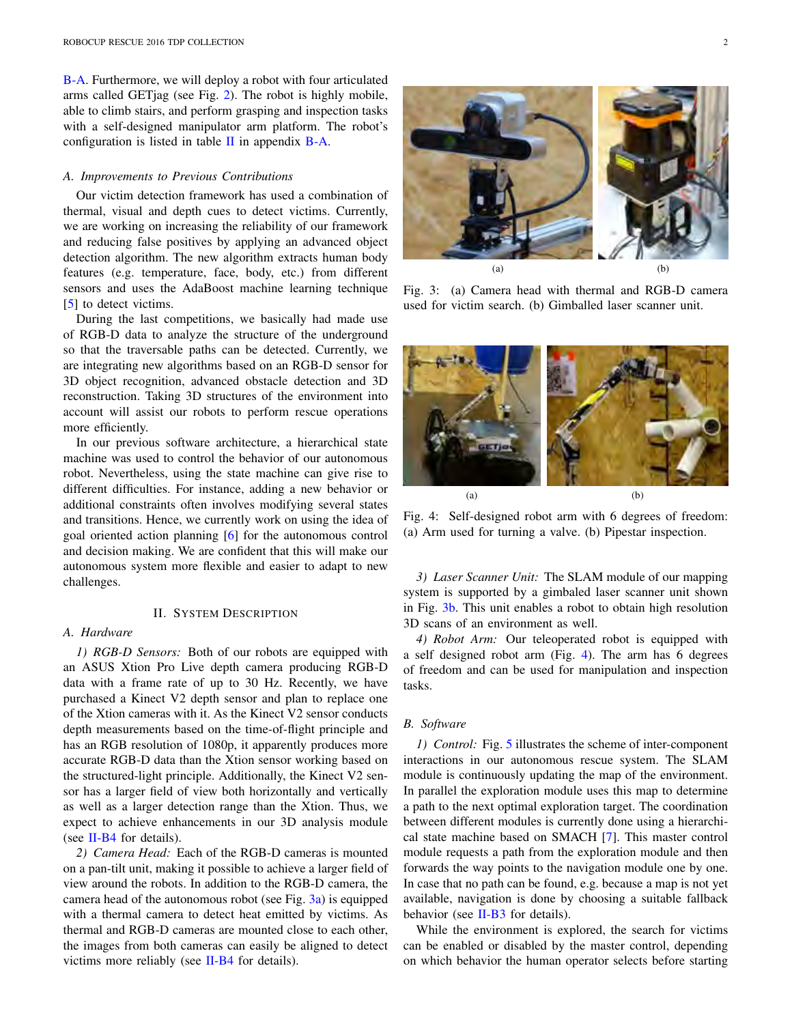B-A. Furthermore, we will deploy a robot with four articulated arms called GETjag (see Fig. 2). The robot is highly mobile, able to climb stairs, and perform grasping and inspection tasks with a self-designed manipulator arm platform. The robot's configuration is listed in table  $\Pi$  in appendix B-A.

#### *A. Improvements to Previous Contributions*

Our victim detection framework has used a combination of thermal, visual and depth cues to detect victims. Currently, we are working on increasing the reliability of our framework and reducing false positives by applying an advanced object detection algorithm. The new algorithm extracts human body features (e.g. temperature, face, body, etc.) from different sensors and uses the AdaBoost machine learning technique [5] to detect victims.

During the last competitions, we basically had made use of RGB-D data to analyze the structure of the underground so that the traversable paths can be detected. Currently, we are integrating new algorithms based on an RGB-D sensor for 3D object recognition, advanced obstacle detection and 3D reconstruction. Taking 3D structures of the environment into account will assist our robots to perform rescue operations more efficiently.

In our previous software architecture, a hierarchical state machine was used to control the behavior of our autonomous robot. Nevertheless, using the state machine can give rise to different difficulties. For instance, adding a new behavior or additional constraints often involves modifying several states and transitions. Hence, we currently work on using the idea of goal oriented action planning [6] for the autonomous control and decision making. We are confident that this will make our autonomous system more flexible and easier to adapt to new challenges.

#### II. SYSTEM DESCRIPTION

#### *A. Hardware*

*1) RGB-D Sensors:* Both of our robots are equipped with an ASUS Xtion Pro Live depth camera producing RGB-D data with a frame rate of up to 30 Hz. Recently, we have purchased a Kinect V2 depth sensor and plan to replace one of the Xtion cameras with it. As the Kinect V2 sensor conducts depth measurements based on the time-of-flight principle and has an RGB resolution of 1080p, it apparently produces more accurate RGB-D data than the Xtion sensor working based on the structured-light principle. Additionally, the Kinect V2 sensor has a larger field of view both horizontally and vertically as well as a larger detection range than the Xtion. Thus, we expect to achieve enhancements in our 3D analysis module (see  $II-B4$  for details).

*2) Camera Head:* Each of the RGB-D cameras is mounted on a pan-tilt unit, making it possible to achieve a larger field of view around the robots. In addition to the RGB-D camera, the camera head of the autonomous robot (see Fig.  $3a$ ) is equipped with a thermal camera to detect heat emitted by victims. As thermal and RGB-D cameras are mounted close to each other, the images from both cameras can easily be aligned to detect victims more reliably (see II-B4 for details).



Fig. 3: (a) Camera head with thermal and RGB-D camera used for victim search. (b) Gimballed laser scanner unit.



Fig. 4: Self-designed robot arm with 6 degrees of freedom: (a) Arm used for turning a valve. (b) Pipestar inspection.

*3) Laser Scanner Unit:* The SLAM module of our mapping system is supported by a gimbaled laser scanner unit shown in Fig. 3b. This unit enables a robot to obtain high resolution 3D scans of an environment as well.

*4) Robot Arm:* Our teleoperated robot is equipped with a self designed robot arm (Fig. 4). The arm has 6 degrees of freedom and can be used for manipulation and inspection tasks.

#### *B. Software*

*1) Control:* Fig. 5 illustrates the scheme of inter-component interactions in our autonomous rescue system. The SLAM module is continuously updating the map of the environment. In parallel the exploration module uses this map to determine a path to the next optimal exploration target. The coordination between different modules is currently done using a hierarchical state machine based on SMACH [7]. This master control module requests a path from the exploration module and then forwards the way points to the navigation module one by one. In case that no path can be found, e.g. because a map is not yet available, navigation is done by choosing a suitable fallback behavior (see  $II-B3$  for details).

While the environment is explored, the search for victims can be enabled or disabled by the master control, depending on which behavior the human operator selects before starting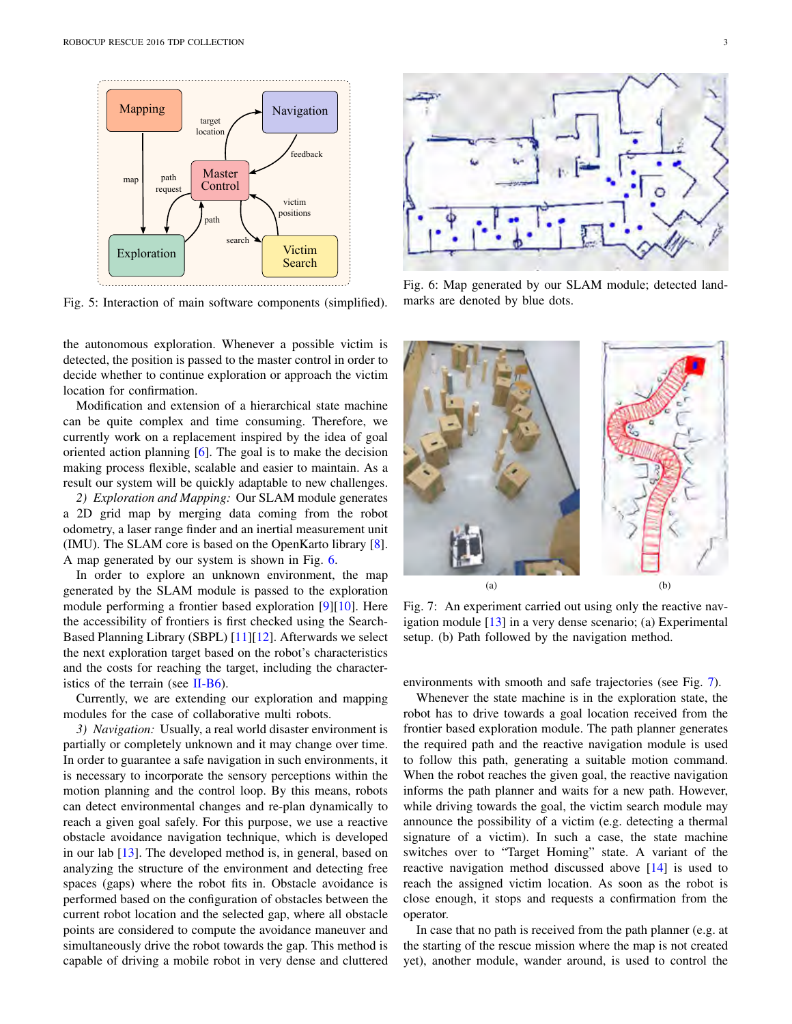

Fig. 5: Interaction of main software components (simplified).

the autonomous exploration. Whenever a possible victim is detected, the position is passed to the master control in order to decide whether to continue exploration or approach the victim location for confirmation.

Modification and extension of a hierarchical state machine can be quite complex and time consuming. Therefore, we currently work on a replacement inspired by the idea of goal oriented action planning [6]. The goal is to make the decision making process flexible, scalable and easier to maintain. As a result our system will be quickly adaptable to new challenges.

*2) Exploration and Mapping:* Our SLAM module generates a 2D grid map by merging data coming from the robot odometry, a laser range finder and an inertial measurement unit (IMU). The SLAM core is based on the OpenKarto library [8]. A map generated by our system is shown in Fig. 6.

In order to explore an unknown environment, the map generated by the SLAM module is passed to the exploration module performing a frontier based exploration [9][10]. Here the accessibility of frontiers is first checked using the Search-Based Planning Library (SBPL) [11][12]. Afterwards we select the next exploration target based on the robot's characteristics and the costs for reaching the target, including the characteristics of the terrain (see  $II-B6$ ).

Currently, we are extending our exploration and mapping modules for the case of collaborative multi robots.

*3) Navigation:* Usually, a real world disaster environment is partially or completely unknown and it may change over time. In order to guarantee a safe navigation in such environments, it is necessary to incorporate the sensory perceptions within the motion planning and the control loop. By this means, robots can detect environmental changes and re-plan dynamically to reach a given goal safely. For this purpose, we use a reactive obstacle avoidance navigation technique, which is developed in our lab [13]. The developed method is, in general, based on analyzing the structure of the environment and detecting free spaces (gaps) where the robot fits in. Obstacle avoidance is performed based on the configuration of obstacles between the current robot location and the selected gap, where all obstacle points are considered to compute the avoidance maneuver and simultaneously drive the robot towards the gap. This method is capable of driving a mobile robot in very dense and cluttered



Fig. 6: Map generated by our SLAM module; detected landmarks are denoted by blue dots.



Fig. 7: An experiment carried out using only the reactive navigation module [13] in a very dense scenario; (a) Experimental setup. (b) Path followed by the navigation method.

environments with smooth and safe trajectories (see Fig. 7).

Whenever the state machine is in the exploration state, the robot has to drive towards a goal location received from the frontier based exploration module. The path planner generates the required path and the reactive navigation module is used to follow this path, generating a suitable motion command. When the robot reaches the given goal, the reactive navigation informs the path planner and waits for a new path. However, while driving towards the goal, the victim search module may announce the possibility of a victim (e.g. detecting a thermal signature of a victim). In such a case, the state machine switches over to "Target Homing" state. A variant of the reactive navigation method discussed above [14] is used to reach the assigned victim location. As soon as the robot is close enough, it stops and requests a confirmation from the operator.

In case that no path is received from the path planner (e.g. at the starting of the rescue mission where the map is not created yet), another module, wander around, is used to control the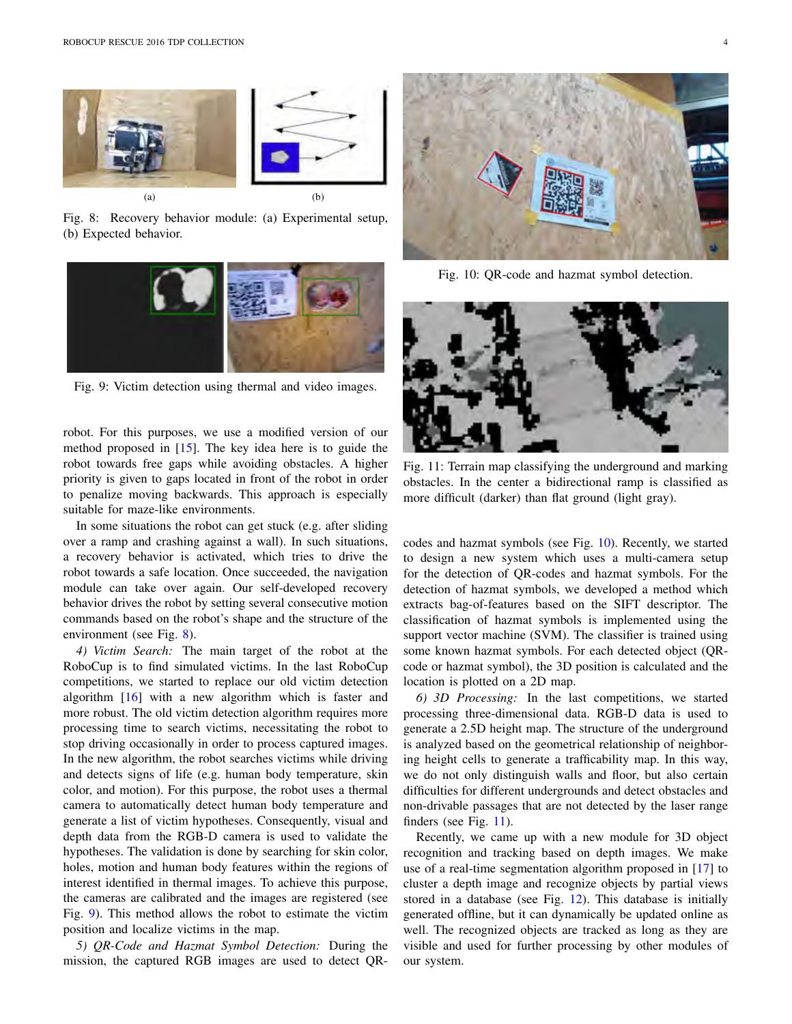

Fig. 8: Recovery behavior module: (a) Experimental setup, (b) Expected behavior.



Fig. 9: Victim detection using thermal and video images.

robot. For this purposes, we use a modified version of our method proposed in [15]. The key idea here is to guide the robot towards free gaps while avoiding obstacles. A higher priority is given to gaps located in front of the robot in order to penalize moving backwards. This approach is especially suitable for maze-like environments.

In some situations the robot can get stuck (e.g. after sliding over a ramp and crashing against a wall). In such situations, a recovery behavior is activated, which tries to drive the robot towards a safe location. Once succeeded, the navigation module can take over again. Our self-developed recovery behavior drives the robot by setting several consecutive motion commands based on the robot's shape and the structure of the environment (see Fig. 8).

*4) Victim Search:* The main target of the robot at the RoboCup is to find simulated victims. In the last RoboCup competitions, we started to replace our old victim detection algorithm [16] with a new algorithm which is faster and more robust. The old victim detection algorithm requires more processing time to search victims, necessitating the robot to stop driving occasionally in order to process captured images. In the new algorithm, the robot searches victims while driving and detects signs of life (e.g. human body temperature, skin color, and motion). For this purpose, the robot uses a thermal camera to automatically detect human body temperature and generate a list of victim hypotheses. Consequently, visual and depth data from the RGB-D camera is used to validate the hypotheses. The validation is done by searching for skin color, holes, motion and human body features within the regions of interest identified in thermal images. To achieve this purpose, the cameras are calibrated and the images are registered (see Fig. 9). This method allows the robot to estimate the victim position and localize victims in the map.

*5) QR-Code and Hazmat Symbol Detection:* During the mission, the captured RGB images are used to detect QR-



Fig. 10: QR-code and hazmat symbol detection.



Fig. 11: Terrain map classifying the underground and marking obstacles. In the center a bidirectional ramp is classified as more difficult (darker) than flat ground (light gray).

codes and hazmat symbols (see Fig. 10). Recently, we started to design a new system which uses a multi-camera setup for the detection of QR-codes and hazmat symbols. For the detection of hazmat symbols, we developed a method which extracts bag-of-features based on the SIFT descriptor. The classification of hazmat symbols is implemented using the support vector machine (SVM). The classifier is trained using some known hazmat symbols. For each detected object (QRcode or hazmat symbol), the 3D position is calculated and the location is plotted on a 2D map.

*6) 3D Processing:* In the last competitions, we started processing three-dimensional data. RGB-D data is used to generate a 2.5D height map. The structure of the underground is analyzed based on the geometrical relationship of neighboring height cells to generate a trafficability map. In this way, we do not only distinguish walls and floor, but also certain difficulties for different undergrounds and detect obstacles and non-drivable passages that are not detected by the laser range finders (see Fig. 11).

Recently, we came up with a new module for 3D object recognition and tracking based on depth images. We make use of a real-time segmentation algorithm proposed in [17] to cluster a depth image and recognize objects by partial views stored in a database (see Fig. 12). This database is initially generated offline, but it can dynamically be updated online as well. The recognized objects are tracked as long as they are visible and used for further processing by other modules of our system.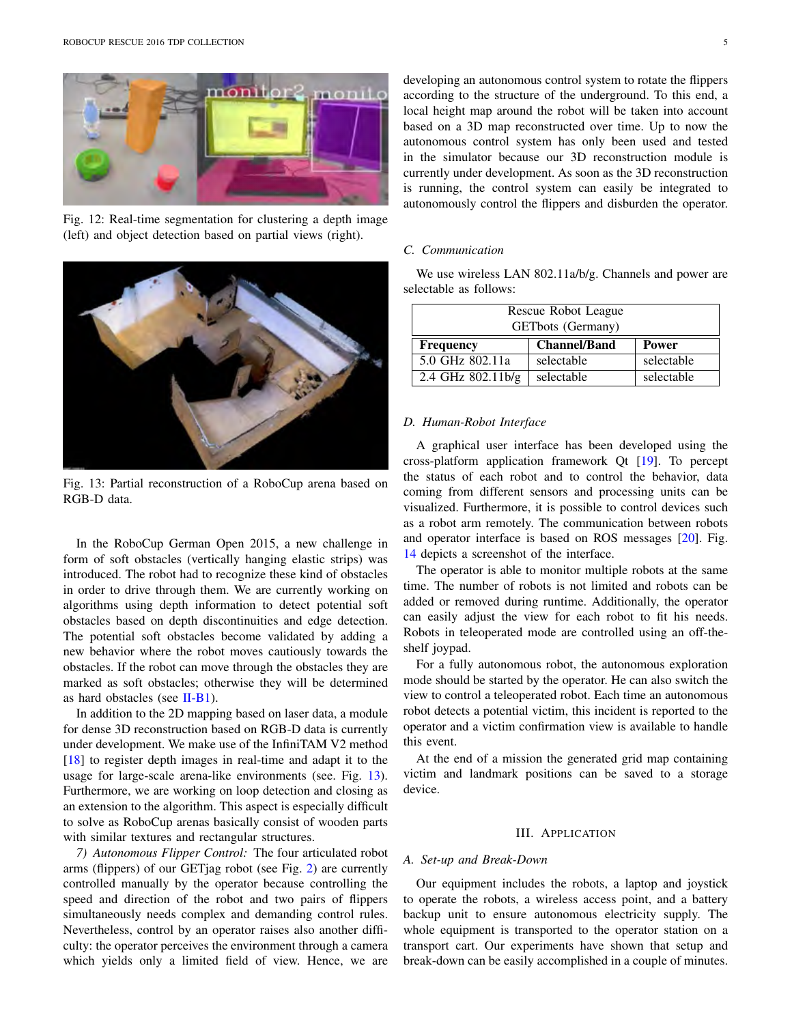

Fig. 12: Real-time segmentation for clustering a depth image (left) and object detection based on partial views (right).



Fig. 13: Partial reconstruction of a RoboCup arena based on RGB-D data.

In the RoboCup German Open 2015, a new challenge in form of soft obstacles (vertically hanging elastic strips) was introduced. The robot had to recognize these kind of obstacles in order to drive through them. We are currently working on algorithms using depth information to detect potential soft obstacles based on depth discontinuities and edge detection. The potential soft obstacles become validated by adding a new behavior where the robot moves cautiously towards the obstacles. If the robot can move through the obstacles they are marked as soft obstacles; otherwise they will be determined as hard obstacles (see II-B1).

In addition to the 2D mapping based on laser data, a module for dense 3D reconstruction based on RGB-D data is currently under development. We make use of the InfiniTAM V2 method [18] to register depth images in real-time and adapt it to the usage for large-scale arena-like environments (see. Fig. 13). Furthermore, we are working on loop detection and closing as an extension to the algorithm. This aspect is especially difficult to solve as RoboCup arenas basically consist of wooden parts with similar textures and rectangular structures.

*7) Autonomous Flipper Control:* The four articulated robot arms (flippers) of our GETjag robot (see Fig. 2) are currently controlled manually by the operator because controlling the speed and direction of the robot and two pairs of flippers simultaneously needs complex and demanding control rules. Nevertheless, control by an operator raises also another difficulty: the operator perceives the environment through a camera which yields only a limited field of view. Hence, we are

developing an autonomous control system to rotate the flippers according to the structure of the underground. To this end, a local height map around the robot will be taken into account based on a 3D map reconstructed over time. Up to now the autonomous control system has only been used and tested in the simulator because our 3D reconstruction module is currently under development. As soon as the 3D reconstruction is running, the control system can easily be integrated to autonomously control the flippers and disburden the operator.

#### *C. Communication*

We use wireless LAN 802.11a/b/g. Channels and power are selectable as follows:

| Rescue Robot League      |                     |              |  |
|--------------------------|---------------------|--------------|--|
| <b>GETbots</b> (Germany) |                     |              |  |
| <b>Frequency</b>         | <b>Channel/Band</b> | <b>Power</b> |  |
| 5.0 GHz 802.11a          | selectable          | selectable   |  |
| 2.4 GHz 802.11b/g        | selectable          | selectable   |  |

#### *D. Human-Robot Interface*

A graphical user interface has been developed using the cross-platform application framework Qt [19]. To percept the status of each robot and to control the behavior, data coming from different sensors and processing units can be visualized. Furthermore, it is possible to control devices such as a robot arm remotely. The communication between robots and operator interface is based on ROS messages [20]. Fig. 14 depicts a screenshot of the interface.

The operator is able to monitor multiple robots at the same time. The number of robots is not limited and robots can be added or removed during runtime. Additionally, the operator can easily adjust the view for each robot to fit his needs. Robots in teleoperated mode are controlled using an off-theshelf joypad.

For a fully autonomous robot, the autonomous exploration mode should be started by the operator. He can also switch the view to control a teleoperated robot. Each time an autonomous robot detects a potential victim, this incident is reported to the operator and a victim confirmation view is available to handle this event.

At the end of a mission the generated grid map containing victim and landmark positions can be saved to a storage device.

#### III. APPLICATION

#### *A. Set-up and Break-Down*

Our equipment includes the robots, a laptop and joystick to operate the robots, a wireless access point, and a battery backup unit to ensure autonomous electricity supply. The whole equipment is transported to the operator station on a transport cart. Our experiments have shown that setup and break-down can be easily accomplished in a couple of minutes.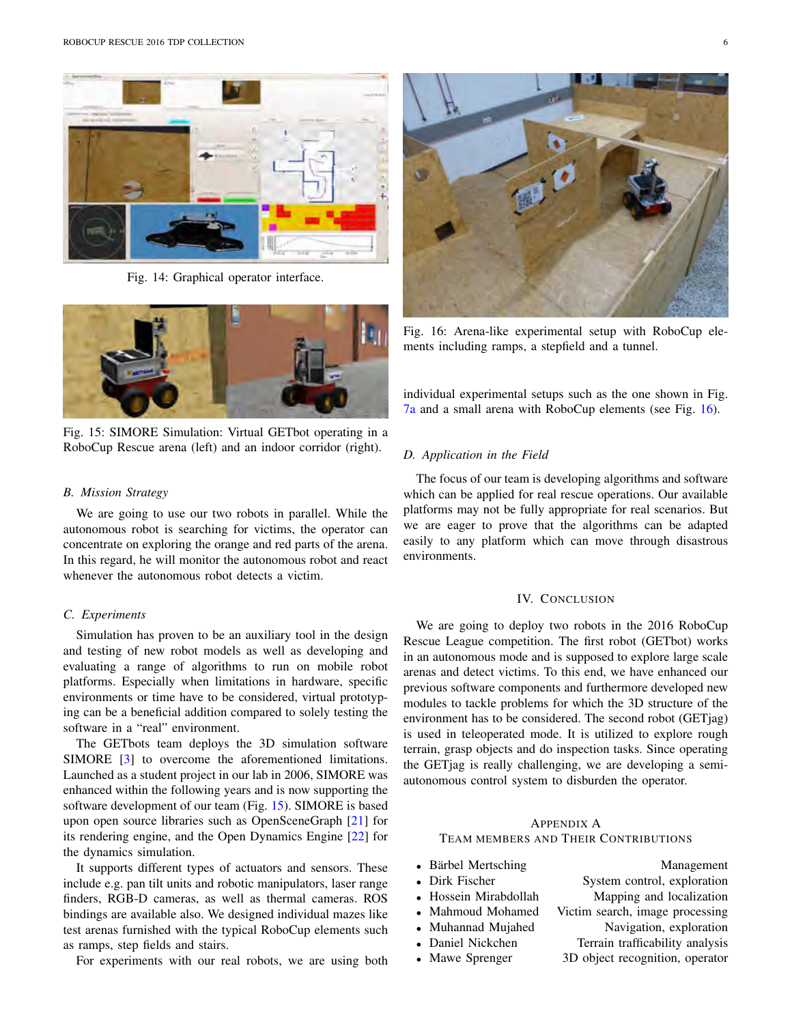

Fig. 14: Graphical operator interface.



Fig. 15: SIMORE Simulation: Virtual GETbot operating in a RoboCup Rescue arena (left) and an indoor corridor (right).

#### *B. Mission Strategy*

We are going to use our two robots in parallel. While the autonomous robot is searching for victims, the operator can concentrate on exploring the orange and red parts of the arena. In this regard, he will monitor the autonomous robot and react whenever the autonomous robot detects a victim.

#### *C. Experiments*

Simulation has proven to be an auxiliary tool in the design and testing of new robot models as well as developing and evaluating a range of algorithms to run on mobile robot platforms. Especially when limitations in hardware, specific environments or time have to be considered, virtual prototyping can be a beneficial addition compared to solely testing the software in a "real" environment.

The GETbots team deploys the 3D simulation software SIMORE [3] to overcome the aforementioned limitations. Launched as a student project in our lab in 2006, SIMORE was enhanced within the following years and is now supporting the software development of our team (Fig. 15). SIMORE is based upon open source libraries such as OpenSceneGraph [21] for its rendering engine, and the Open Dynamics Engine [22] for the dynamics simulation.

It supports different types of actuators and sensors. These include e.g. pan tilt units and robotic manipulators, laser range finders, RGB-D cameras, as well as thermal cameras. ROS bindings are available also. We designed individual mazes like test arenas furnished with the typical RoboCup elements such as ramps, step fields and stairs.

For experiments with our real robots, we are using both



Fig. 16: Arena-like experimental setup with RoboCup elements including ramps, a stepfield and a tunnel.

individual experimental setups such as the one shown in Fig. 7a and a small arena with RoboCup elements (see Fig. 16).

#### *D. Application in the Field*

The focus of our team is developing algorithms and software which can be applied for real rescue operations. Our available platforms may not be fully appropriate for real scenarios. But we are eager to prove that the algorithms can be adapted easily to any platform which can move through disastrous environments.

## IV. CONCLUSION

We are going to deploy two robots in the 2016 RoboCup Rescue League competition. The first robot (GETbot) works in an autonomous mode and is supposed to explore large scale arenas and detect victims. To this end, we have enhanced our previous software components and furthermore developed new modules to tackle problems for which the 3D structure of the environment has to be considered. The second robot (GETjag) is used in teleoperated mode. It is utilized to explore rough terrain, grasp objects and do inspection tasks. Since operating the GETjag is really challenging, we are developing a semiautonomous control system to disburden the operator.

### APPENDIX A TEAM MEMBERS AND THEIR CONTRIBUTIONS

- 
- 
- 
- 
- 
- 
- 

• Bärbel Mertsching **a** Management<br>• Dirk Fischer **System control.** exploration • Dirk Fischer System control, exploration<br>• Hossein Mirabdollah Mapping and localization **Mapping and localization** • Mahmoud Mohamed Victim search, image processing • Muhannad Mujahed Navigation, exploration *•* Daniel Nickchen Terrain trafficability analysis • Mawe Sprenger 3D object recognition, operator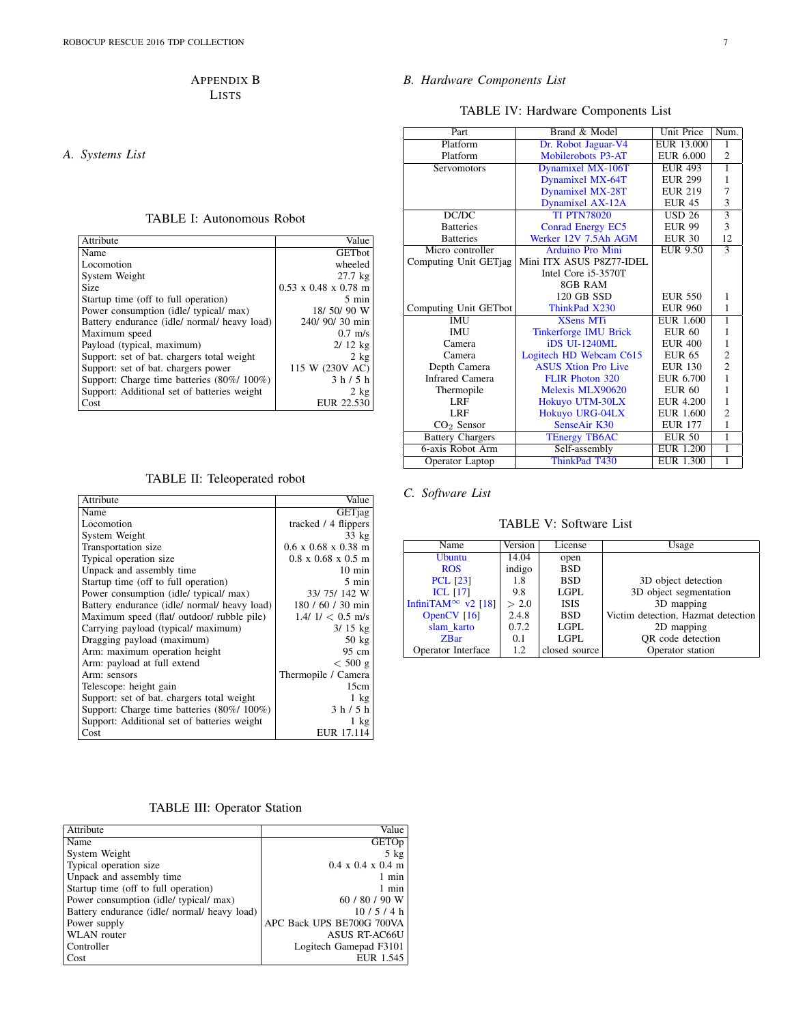## APPENDIX B LISTS

*A. Systems List*

#### TABLE I: Autonomous Robot

| Attribute                                    | Value                            |
|----------------------------------------------|----------------------------------|
| Name                                         | <b>GET</b> bot                   |
| Locomotion                                   | wheeled                          |
| System Weight                                | $27.7$ kg                        |
| <b>Size</b>                                  | $0.53 \times 0.48 \times 0.78$ m |
| Startup time (off to full operation)         | $5 \text{ min}$                  |
| Power consumption (idle/ typical/ max)       | 18/ 50/ 90 W                     |
| Battery endurance (idle/ normal/ heavy load) | 240/ 90/ 30 min                  |
| Maximum speed                                | $0.7$ m/s                        |
| Payload (typical, maximum)                   | $2/12$ kg                        |
| Support: set of bat. chargers total weight   | $2 \text{ kg}$                   |
| Support: set of bat. chargers power          | 115 W (230V AC)                  |
| Support: Charge time batteries (80%/100%)    | 3 h / 5 h                        |
| Support: Additional set of batteries weight  | 2 kg                             |
| Cost                                         | EUR 22.530                       |

# TABLE II: Teleoperated robot

| Attribute                                    | Value                                  |
|----------------------------------------------|----------------------------------------|
| Name                                         | <b>GETjag</b>                          |
| Locomotion                                   | tracked / 4 flippers                   |
| System Weight                                | $33 \text{ kg}$                        |
| Transportation size                          | $0.6 \times 0.68 \times 0.38$ m        |
| Typical operation size                       | $0.8 \times 0.68 \times 0.5 \text{ m}$ |
| Unpack and assembly time                     | $10 \text{ min}$                       |
| Startup time (off to full operation)         | 5 min                                  |
| Power consumption (idle/ typical/ max)       | 33/75/142 W                            |
| Battery endurance (idle/ normal/ heavy load) | 180 / 60 / 30 min                      |
| Maximum speed (flat/ outdoor/ rubble pile)   | $1.4/1/0.5$ m/s                        |
| Carrying payload (typical/ maximum)          | $3/15$ kg                              |
| Dragging payload (maximum)                   | $50 \text{ kg}$                        |
| Arm: maximum operation height                | 95 cm                                  |
| Arm: payload at full extend                  | $< 500$ g                              |
| Arm: sensors                                 | Thermopile / Camera                    |
| Telescope: height gain                       | 15cm                                   |
| Support: set of bat. chargers total weight   | $1 \text{ kg}$                         |
| Support: Charge time batteries (80%/100%)    | 3 h / 5 h                              |
| Support: Additional set of batteries weight  | $1 \text{ kg}$                         |
| Cost                                         | EUR 17.114                             |

# TABLE III: Operator Station

| Attribute                                    | Value                                 |
|----------------------------------------------|---------------------------------------|
| Name                                         | <b>GETOp</b>                          |
| System Weight                                | $5 \text{ kg}$                        |
| Typical operation size                       | $0.4 \times 0.4 \times 0.4 \text{ m}$ |
| Unpack and assembly time                     | 1 min                                 |
| Startup time (off to full operation)         | 1 min                                 |
| Power consumption (idle/ typical/ max)       | 60 / 80 / 90 W                        |
| Battery endurance (idle/ normal/ heavy load) | 10/5/4 h                              |
| Power supply                                 | APC Back UPS BE700G 700VA             |
| <b>WLAN</b> router                           | <b>ASUS RT-AC66U</b>                  |
| Controller                                   | Logitech Gamepad F3101                |
| Cost                                         | EUR 1.545                             |

# *B. Hardware Components List*

TABLE IV: Hardware Components List

| Part                    | Brand & Model                | <b>Unit Price</b> | Num.                    |
|-------------------------|------------------------------|-------------------|-------------------------|
| Platform                | Dr. Robot Jaguar-V4          | <b>EUR 13.000</b> | 1                       |
| Platform                | Mobilerobots P3-AT           | <b>EUR 6.000</b>  | $\overline{2}$          |
| Servomotors             | Dynamixel MX-106T            | <b>EUR 493</b>    | $\overline{1}$          |
|                         | Dynamixel MX-64T             | <b>EUR 299</b>    | 1                       |
|                         | <b>Dynamixel MX-28T</b>      | <b>EUR 219</b>    | 7                       |
|                         | Dynamixel AX-12A             | <b>EUR 45</b>     | 3                       |
| DC/DC                   | <b>TI PTN78020</b>           | <b>USD 26</b>     | $\overline{3}$          |
| <b>Batteries</b>        | <b>Conrad Energy EC5</b>     | <b>EUR 99</b>     | 3                       |
| <b>Batteries</b>        | Werker 12V 7.5Ah AGM         | <b>EUR 30</b>     | 12                      |
| Micro controller        | <b>Arduino Pro Mini</b>      | <b>EUR 9.50</b>   | $\overline{\mathbf{3}}$ |
| Computing Unit GETjag   | Mini ITX ASUS P8Z77-IDEL     |                   |                         |
|                         | Intel Core i5-3570T          |                   |                         |
|                         | 8GB RAM                      |                   |                         |
|                         | 120 GB SSD                   | <b>EUR 550</b>    | 1                       |
| Computing Unit GETbot   | ThinkPad X230                | <b>EUR 960</b>    | 1                       |
| <b>IMU</b>              | <b>XSens MTi</b>             | <b>EUR 1.600</b>  | $\overline{1}$          |
| <b>IMU</b>              | <b>Tinkerforge IMU Brick</b> | EUR 60            | 1                       |
| Camera                  | <b>iDS UL-1240ML</b>         | <b>EUR 400</b>    | $\mathbf{1}$            |
| Camera                  | Logitech HD Webcam C615      | EUR 65            | $\overline{c}$          |
| Depth Camera            | <b>ASUS Xtion Pro Live</b>   | <b>EUR 130</b>    | $\overline{c}$          |
| <b>Infrared Camera</b>  | FLIR Photon 320              | EUR 6.700         | $\mathbf{1}$            |
| Thermopile              | Melexis MLX90620             | <b>EUR 60</b>     | $\mathbf{1}$            |
| LRF                     | Hokuyo UTM-30LX              | <b>EUR 4.200</b>  | $\mathbf{1}$            |
| LRF                     | Hokuyo URG-04LX              | EUR 1.600         | $\overline{2}$          |
| $CO2$ Sensor            | SenseAir K30                 | <b>EUR 177</b>    | $\mathbf{1}$            |
| <b>Battery Chargers</b> | <b>TEnergy TB6AC</b>         | $EUR$ 50          | ī                       |
| 6-axis Robot Arm        | Self-assembly                | <b>EUR 1.200</b>  | ī                       |
| Operator Laptop         | ThinkPad T430                | EUR 1.300         | 1                       |

# *C. Software List*

TABLE V: Software List

| Name                                             | Version | License       | Usage                              |
|--------------------------------------------------|---------|---------------|------------------------------------|
| Ubuntu                                           | 14.04   | open          |                                    |
| <b>ROS</b>                                       | indigo  | <b>BSD</b>    |                                    |
| <b>PCL [23]</b>                                  | 1.8     | <b>BSD</b>    | 3D object detection                |
| <b>ICL [17]</b>                                  | 9.8     | LGPL          | 3D object segmentation             |
| InfiniTAM <sup><math>\infty</math></sup> v2 [18] | > 2.0   | <b>ISIS</b>   | 3D mapping                         |
| OpenCV $[16]$                                    | 2.4.8   | <b>BSD</b>    | Victim detection, Hazmat detection |
| slam karto                                       | 0.7.2   | <b>LGPL</b>   | 2D mapping                         |
| <b>ZBar</b>                                      | 0.1     | <b>LGPL</b>   | OR code detection                  |
| Operator Interface                               | 1.2     | closed source | Operator station                   |